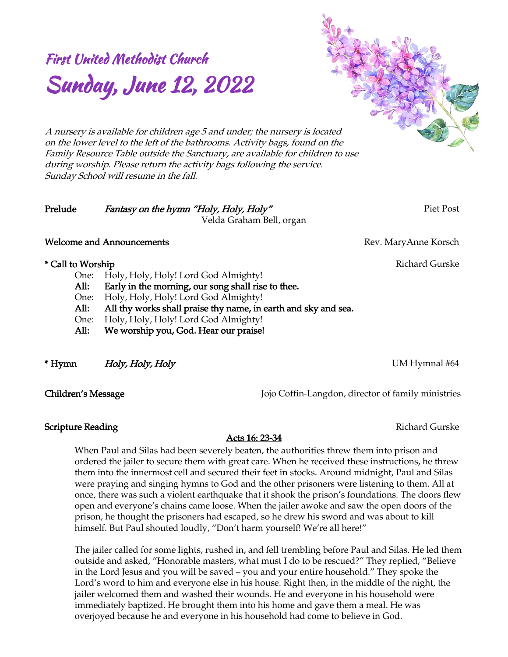# First United Methodist Church Sunday, June 12, 2022

*A nursery is available for children age 5 and under; the nursery is located on the lower level to the left of the bathrooms. Activity bags, found on the Family Resource Table outside the Sanctuary, are available for children to use during worship. Please return the activity bags following the service. Sunday School will resume in the fall.*

## *Prelude Fantasy on the hymn "Holy, Holy, Holy" Piet Post Velda Graham Bell, organ*

#### **Welcome and Announcements** Rev. MaryAnne Korsch

### *\* Call to Worship Richard Gurske*

*One: Holy, Holy, Holy! Lord God Almighty! All: Early in the morning, our song shall rise to thee. One: Holy, Holy, Holy! Lord God Almighty! All: All thy works shall praise thy name, in earth and sky and sea. One: Holy, Holy, Holy! Lord God Almighty! All: We worship you, God. Hear our praise!* 

*\* Hymn Holy, Holy, Holy UM Hymnal #64*

*Children's Message Jojo Coffin-Langdon, director of family ministries*

**Scripture Reading** *Richard Gurske Richard Gurske Richard Gurske* 

# *Acts 16: 23-34*

*When Paul and Silas had been severely beaten, the authorities threw them into prison and ordered the jailer to secure them with great care. When he received these instructions, he threw them into the innermost cell and secured their feet in stocks. Around midnight, Paul and Silas were praying and singing hymns to God and the other prisoners were listening to them. All at once, there was such a violent earthquake that it shook the prison's foundations. The doors flew open and everyone's chains came loose. When the jailer awoke and saw the open doors of the prison, he thought the prisoners had escaped, so he drew his sword and was about to kill himself. But Paul shouted loudly, "Don't harm yourself! We're all here!"*

*The jailer called for some lights, rushed in, and fell trembling before Paul and Silas. He led them outside and asked, "Honorable masters, what must I do to be rescued?" They replied, "Believe in the Lord Jesus and you will be saved – you and your entire household." They spoke the*  Lord'<sub>*s*</sub> word to him and everyone else in his house. Right then, in the middle of the night, the *jailer welcomed them and washed their wounds. He and everyone in his household were immediately baptized. He brought them into his home and gave them a meal. He was overjoyed because he and everyone in his household had come to believe in God.*

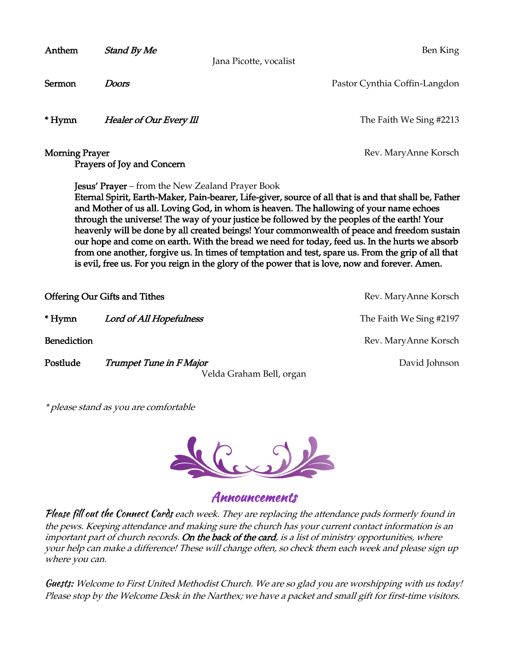| Anthem                                                                                                                                                                                                                                                                                                                                                                                                                                                                                                                                                                                                                                                                                                                                                            | <b>Stand By Me</b>                   | Ben King                                  |
|-------------------------------------------------------------------------------------------------------------------------------------------------------------------------------------------------------------------------------------------------------------------------------------------------------------------------------------------------------------------------------------------------------------------------------------------------------------------------------------------------------------------------------------------------------------------------------------------------------------------------------------------------------------------------------------------------------------------------------------------------------------------|--------------------------------------|-------------------------------------------|
| Jana Picotte, vocalist                                                                                                                                                                                                                                                                                                                                                                                                                                                                                                                                                                                                                                                                                                                                            |                                      |                                           |
| Sermon                                                                                                                                                                                                                                                                                                                                                                                                                                                                                                                                                                                                                                                                                                                                                            | <b>Doors</b>                         | Pastor Cynthia Coffin-Langdon             |
| * Hymn                                                                                                                                                                                                                                                                                                                                                                                                                                                                                                                                                                                                                                                                                                                                                            | Healer of Our Every III              | The Faith We Sing #2213                   |
| <b>Morning Prayer</b><br>Rev. MaryAnne Korsch<br>Prayers of Joy and Concern                                                                                                                                                                                                                                                                                                                                                                                                                                                                                                                                                                                                                                                                                       |                                      |                                           |
| <b>Jesus' Prayer</b> – from the New Zealand Prayer Book<br>Eternal Spirit, Earth-Maker, Pain-bearer, Life-giver, source of all that is and that shall be, Father<br>and Mother of us all. Loving God, in whom is heaven. The hallowing of your name echoes<br>through the universe! The way of your justice be followed by the peoples of the earth! Your<br>heavenly will be done by all created beings! Your commonwealth of peace and freedom sustain<br>our hope and come on earth. With the bread we need for today, feed us. In the hurts we absorb<br>from one another, forgive us. In times of temptation and test, spare us. From the grip of all that<br>is evil, free us. For you reign in the glory of the power that is love, now and forever. Amen. |                                      |                                           |
|                                                                                                                                                                                                                                                                                                                                                                                                                                                                                                                                                                                                                                                                                                                                                                   | <b>Offering Our Gifts and Tithes</b> | Rev. MaryAnne Korsch                      |
| * Hymn                                                                                                                                                                                                                                                                                                                                                                                                                                                                                                                                                                                                                                                                                                                                                            | Lord of All Hopefulness              | The Faith We Sing #2197                   |
| <b>Benediction</b>                                                                                                                                                                                                                                                                                                                                                                                                                                                                                                                                                                                                                                                                                                                                                |                                      | Rev. MaryAnne Korsch                      |
| Postlude                                                                                                                                                                                                                                                                                                                                                                                                                                                                                                                                                                                                                                                                                                                                                          | Trumpet Tune in F Major              | David Johnson<br>Velda Graham Bell, organ |

*\* please stand as you are comfortable*



Announcements

Please fill out the Connect Cards *each week. They are replacing the attendance pads formerly found in the pews. Keeping attendance and making sure the church has your current contact information is an important part of church records. On the back of the card, is a list of ministry opportunities, where your help can make a difference! These will change often, so check them each week and please sign up where you can.*

Guests: *Welcome to First United Methodist Church. We are so glad you are worshipping with us today! Please stop by the Welcome Desk in the Narthex; we have a packet and small gift for first-time visitors.*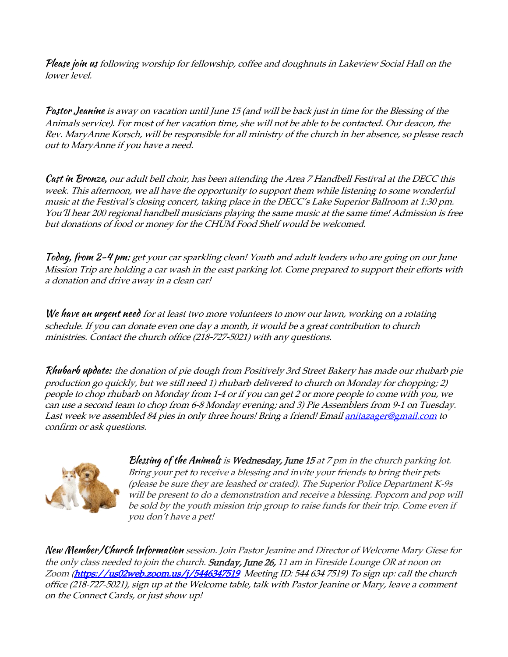Please join us *following worship for fellowship, coffee and doughnuts in Lakeview Social Hall on the lower level.*

Pastor Jeanine *is away on vacation until June 15 (and will be back just in time for the Blessing of the Animals service). For most of her vacation time, she will not be able to be contacted. Our deacon, the Rev. MaryAnne Korsch, will be responsible for all ministry of the church in her absence, so please reach out to MaryAnne if you have a need.*

Cast in Bronze, *our adult bell choir, has been attending the Area 7 Handbell Festival at the DECC this week. This afternoon, we all have the opportunity to support them while listening to some wonderful music at the Festival's closing concert, taking place in the DECC's Lake Superior Ballroom at 1:30 pm. You'll hear 200 regional handbell musicians playing the same music at the same time! Admission is free but donations of food or money for the CHUM Food Shelf would be welcomed.* 

Today, from 2-4 pm: *get your car sparkling clean! Youth and adult leaders who are going on our June Mission Trip are holding a car wash in the east parking lot. Come prepared to support their efforts with a donation and drive away in a clean car!*

We have an urgent need *for at least two more volunteers to mow our lawn, working on a rotating schedule. If you can donate even one day a month, it would be a great contribution to church ministries. Contact the church office (218-727-5021) with any questions.*

Rhubarb update: *the donation of pie dough from Positively 3rd Street Bakery has made our rhubarb pie production go quickly, but we still need 1) rhubarb delivered to church on Monday for chopping; 2) people to chop rhubarb on Monday from 1-4 or if you can get 2 or more people to come with you, we can use a second team to chop from 6-8 Monday evening; and 3) Pie Assemblers from 9-1 on Tuesday. Last week we assembled 84 pies in only three hours! Bring a friend! Emai[l anitazager@gmail.com](mailto:anitazager@gmail.com) to confirm or ask questions.*



Blessing of the Animals *is Wednesday, June 15 at 7 pm in the church parking lot. Bring your pet to receive a blessing and invite your friends to bring their pets (please be sure they are leashed or crated). The Superior Police Department K-9s will be present to do a demonstration and receive a blessing. Popcorn and pop will be sold by the youth mission trip group to raise funds for their trip. Come even if you don't have a pet!*

New Member/Church Information *session. Join Pastor Jeanine and Director of Welcome Mary Giese for the only class needed to join the church. Sunday, June 26, 11 am in Fireside Lounge OR at noon on Zoom [\(https://us02web.zoom.us/j/5446347519](https://us02web.zoom.us/j/5446347519M) Meeting ID: 544 634 7519) To sign up: call the church office (218-727-5021), sign up at the Welcome table, talk with Pastor Jeanine or Mary, leave a comment on the Connect Cards, or just show up!*